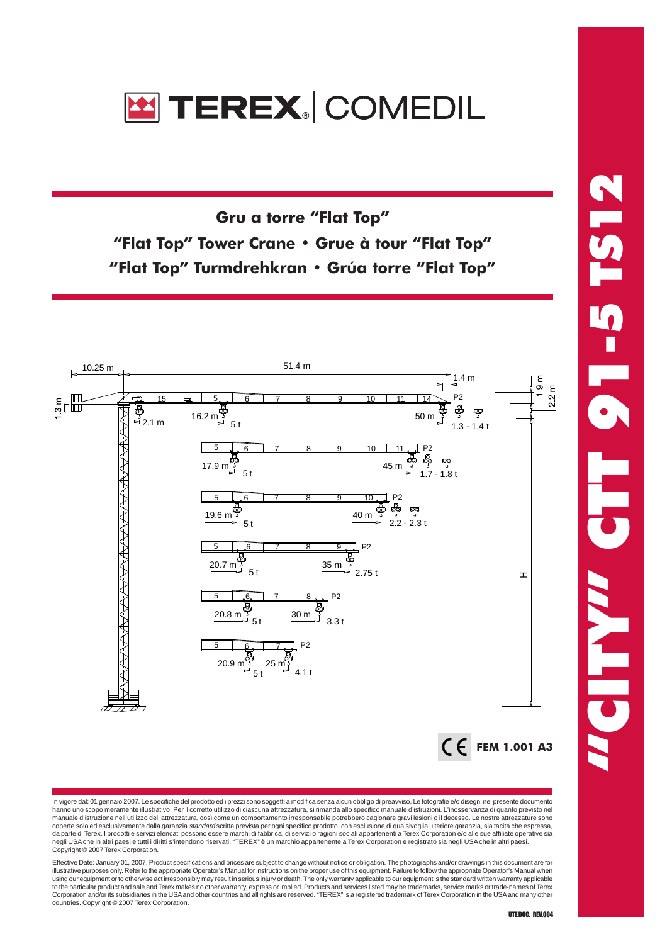

Gru a torre "Flat Top" "Flat Top" Tower Crane • Grue à tour "Flat Top" "Flat Top" Turmdrehkran • Grúa torre "Flat Top"



In vigore dal: 01 gennaio 2007. Le specifiche del prodotto ed i prezzi sono soggetti a modifica senza alcun obbligo di preavviso. Le fotografie e/o disegni nel presente documento hanno uno scopo meramente illustrativo. Per il corretto utilizzo di ciascuna attrezzatura, si rimanda allo specifico manuale d'istruzioni. L'inosservanza di quanto previsto nel manuale d'istruzione nell'utilizzo dell'attrezzatura, così come un comportamento irresponsabile potrebbero cagionare gravi lesioni o il decesso. Le nostre attrezzature sono coperte solo ed esclusivamente dalla garanzia *standard* scritta prevista per ogni specifico prodotto, con esclusione di qualsivoglia ulteriore garanzia, sia tacita che espressa,<br>da parte di Terex. I prodotti e servizi ele negli USA che in altri paesi e tutti i diritti s'intendono riservati. "TEREX" è un marchio appartenente a Terex Corporation e registrato sia negli USA che in altri paesi. Copyright © 2007 Terex Corporation.

Effective Date: January 01, 2007. Product specifications and prices are subject to change without notice or obligation. The photographs and/or drawings in this document are for illustrative purposes only. Refer to the appropriate Operator's Manual for instructions on the proper use of this equipment. Failure to follow the appropriate Operator's Manual when<br>using our equipment or to otherwise act to the particular product and sale and Terex makes no other warranty, express or implied. Products and services listed may be trademarks, service marks or trade-names of Terex Corporation and/or its subsidiaries in the USA and other countries and all rights are reserved. "TEREX" is a registered trademark of Terex Corporation in the USA and many other countries. Copyright © 2007 Terex Corporation.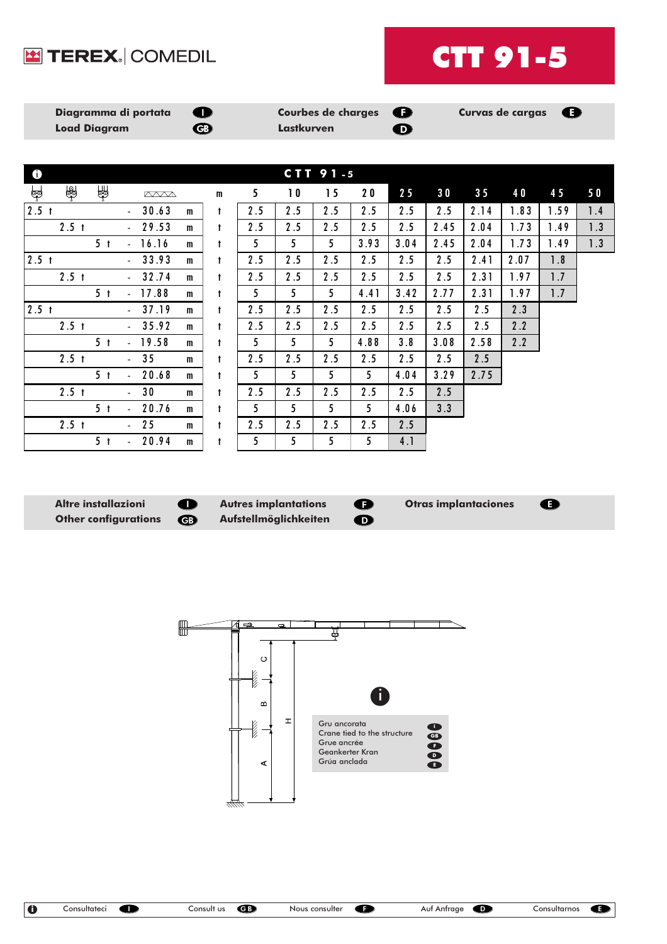## TEREX. COMEDIL



| Diagramma di portata<br><b>Load Diagram</b> | <b>SOLUTION</b><br>G <sub>D</sub> | Courbes de charges $\bigoplus$<br>Lastkurven | D) | Curvas de cargas $\bigoplus$ |  |
|---------------------------------------------|-----------------------------------|----------------------------------------------|----|------------------------------|--|
|                                             |                                   |                                              |    |                              |  |

| $\mathbf 6$      | CTT 91-5         |                |                     |             |              |              |     |                |                |      |      |      |                |      |      |     |
|------------------|------------------|----------------|---------------------|-------------|--------------|--------------|-----|----------------|----------------|------|------|------|----------------|------|------|-----|
| ⊌∲               | $\circledast$    | ∉              |                     | <b>AVVA</b> |              | m            | 5   | 10             | 15             | 20   | 25   | 30   | 3 <sub>5</sub> | 40   | 45   | 50  |
| 2.5 <sub>t</sub> |                  |                | $\sim$              | 30.63       | m            | $\mathbf{t}$ | 2.5 | 2.5            | 2.5            | 2.5  | 2.5  | 2.5  | 2.14           | 1.83 | 1.59 | 1.4 |
|                  | 2.5 <sub>t</sub> |                |                     | 29.53       | $\mathbf{m}$ | t            | 2.5 | 2.5            | 2.5            | 2.5  | 2.5  | 2.45 | 2.04           | 1.73 | 1.49 | 1.3 |
|                  |                  | 5 <sub>t</sub> | ÷.                  | 16.16       | m            | t            | 5   | 5              | 5              | 3.93 | 3.04 | 2.45 | 2.04           | 1.73 | 1.49 | 1.3 |
| 2.5 <sub>t</sub> |                  |                |                     | 33.93       | m            | $\ddagger$   | 2.5 | 2.5            | 2.5            | 2.5  | 2.5  | 2.5  | 2.41           | 2.07 | 1.8  |     |
|                  | 2.5 <sub>t</sub> |                |                     | 32.74       | m            | t            | 2.5 | 2.5            | 2.5            | 2.5  | 2.5  | 2.5  | 2.31           | 1.97 | 1.7  |     |
|                  |                  | 5 <sub>t</sub> | $\overline{a}$      | 17.88       | m            | t            | 5   | 5 <sup>5</sup> | 5              | 4.41 | 3.42 | 2.77 | 2.31           | 1.97 | 1.7  |     |
| 2.5 <sub>t</sub> |                  |                |                     | 37.19       | m            | $\mathbf{t}$ | 2.5 | 2.5            | 2.5            | 2.5  | 2.5  | 2.5  | 2.5            | 2.3  |      |     |
|                  | 2.5 <sub>t</sub> |                |                     | 35.92       | m            | $\ddagger$   | 2.5 | 2.5            | 2.5            | 2.5  | 2.5  | 2.5  | 2.5            | 2.2  |      |     |
|                  |                  | 5 <sub>t</sub> | ä.                  | 19.58       | m            | t            | 5   | 5              | 5 <sup>1</sup> | 4.88 | 3.8  | 3.08 | 2.58           | 2.2  |      |     |
|                  | 2.5 <sub>t</sub> |                | $\mathcal{L}^{\pm}$ | 35          | m            | $\mathbf{t}$ | 2.5 | 2.5            | 2.5            | 2.5  | 2.5  | 2.5  | 2.5            |      |      |     |
|                  |                  | 5 <sub>t</sub> | ÷.                  | 20.68       | m            | t            | 5   | 5              | 5              | 5    | 4.04 | 3.29 | 2.75           |      |      |     |
|                  | 2.5 <sub>t</sub> |                |                     | 30          | $\mathbf{m}$ | t            | 2.5 | 2.5            | 2.5            | 2.5  | 2.5  | 2.5  |                |      |      |     |
|                  |                  | 5 <sub>t</sub> | ÷.                  | 20.76       | m            | t            | 5.  | 5              | 5              | 5    | 4.06 | 3.3  |                |      |      |     |
|                  | 2.5 <sub>t</sub> |                | $\mathcal{L}^{\pm}$ | 25          | m            | $\mathbf t$  | 2.5 | 2.5            | 2.5            | 2.5  | 2.5  |      |                |      |      |     |
|                  |                  | 5 <sub>t</sub> | ÷.                  | 20.94       | m            | t            | 5   | 5              | 5              | 5    | 4.1  |      |                |      |      |     |

Altre installazioni **Autres implantations** Otras implantaciones Other configurations **CD** Aufstellmöglichkeiten

GB  $\bullet$ 

 $\bullet$  $\bullet$ 

 $\bullet$ 

 $\blacksquare$ म्  $\circ$ **Northern** i  $\bf{m}$  $\mathbf{r}$ **Killich** Gru ancorata I Crane tied to the structure GB Grue ancrée F Geankerter Kran D Grúa anclada  $\blacktriangleleft$ E

\*\*\*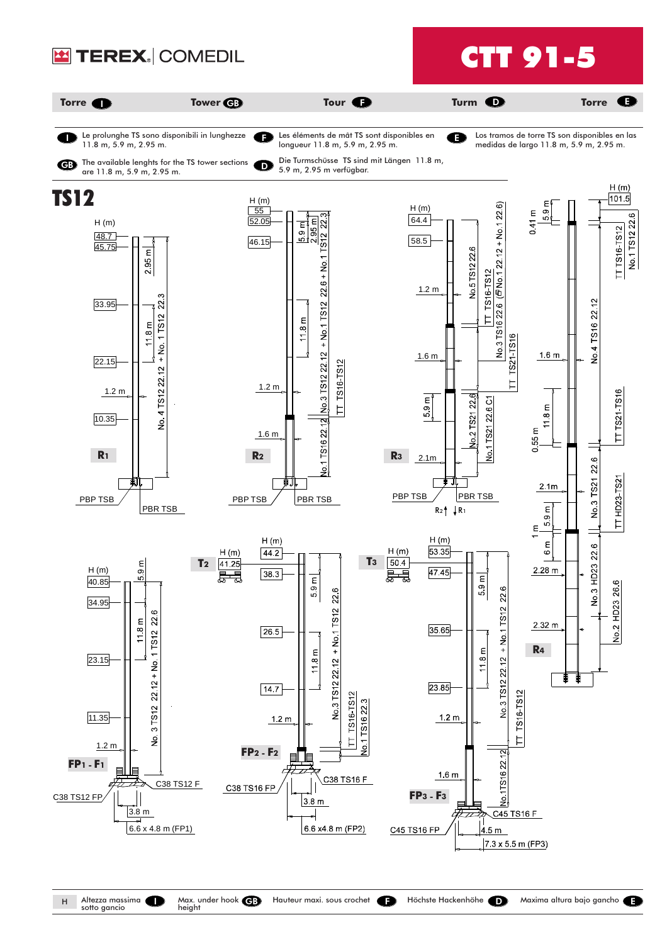

Altezza massima<br>sotto gancio